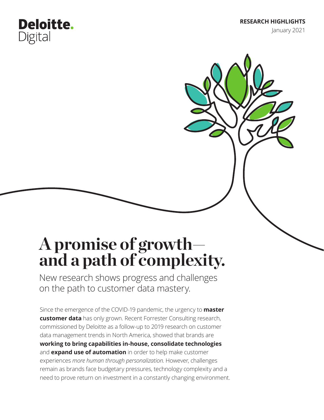**RESEARCH HIGHLIGHTS**

January 2021

# **A promise of growth and a path of complexity.**

**Deloitte.** 

Digital

New research shows progress and challenges on the path to customer data mastery.

Since the emergence of the COVID-19 pandemic, the urgency to **master customer data** has only grown. Recent Forrester Consulting research, commissioned by Deloitte as a follow-up to 2019 research on customer data management trends in North America, showed that brands are **working to bring capabilities in-house, consolidate technologies** and **expand use of automation** in order to help make customer experiences *more human through personalization*. However, challenges remain as brands face budgetary pressures, technology complexity and a need to prove return on investment in a constantly changing environment.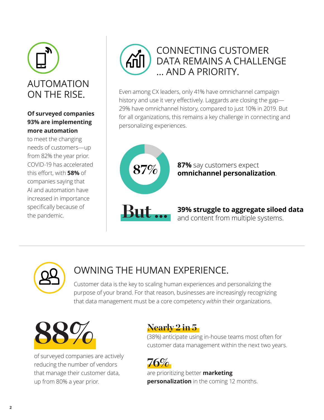

### **Of surveyed companies 93% are implementing more automation**

to meet the changing needs of customers—up from 82% the year prior. COVID-19 has accelerated this effort, with **58%** of companies saying that AI and automation have increased in importance specifically because of the pandemic.



Even among CX leaders, only 41% have omnichannel campaign history and use it very effectively. Laggards are closing the gap— 29% have omnichannel history, compared to just 10% in 2019. But for all organizations, this remains a key challenge in connecting and personalizing experiences.





## OWNING THE HUMAN EXPERIENCE.

Customer data is the key to scaling human experiences and personalizing the purpose of your brand. For that reason, businesses are increasingly recognizing that data management must be a core competency *within* their organizations.



of surveyed companies are actively reducing the number of vendors that manage their customer data, up from 80% a year prior.

(38%) anticipate using in-house teams most often for customer data management within the next two years.



are prioritizing better **marketing personalization** in the coming 12 months.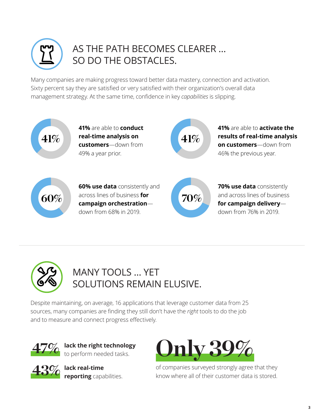

## AS THE PATH BECOMES CLEARER … SO DO THE OBSTACLES.

Many companies are making progress toward better data mastery, connection and activation. Sixty percent say they are satisfied or very satisfied with their organization's overall data management strategy. At the same time, confidence in key *capabilities* is slipping.





## MANY TOOLS … YET SOLUTIONS REMAIN ELUSIVE.

Despite maintaining, on average, 16 applications that leverage customer data from 25 sources, many companies are finding they still don't have the *right* tools to do the job and to measure and connect progress effectively.



**lack the right technology**  to perform needed tasks.

**43%**





of companies surveyed strongly agree that they know where all of their customer data is stored.